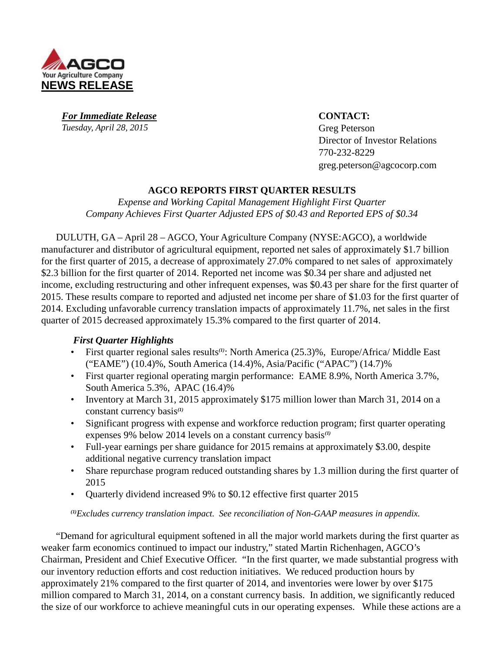

*For Immediate Release* **CONTACT:** *Tuesday, April 28, 2015* Greg Peterson

Director of Investor Relations 770-232-8229 greg.peterson@agcocorp.com

# **AGCO REPORTS FIRST QUARTER RESULTS**

*Expense and Working Capital Management Highlight First Quarter Company Achieves First Quarter Adjusted EPS of \$0.43 and Reported EPS of \$0.34*

DULUTH, GA – April 28 – AGCO, Your Agriculture Company (NYSE:AGCO), a worldwide manufacturer and distributor of agricultural equipment, reported net sales of approximately \$1.7 billion for the first quarter of 2015, a decrease of approximately 27.0% compared to net sales of approximately \$2.3 billion for the first quarter of 2014. Reported net income was \$0.34 per share and adjusted net income, excluding restructuring and other infrequent expenses, was \$0.43 per share for the first quarter of 2015. These results compare to reported and adjusted net income per share of \$1.03 for the first quarter of 2014. Excluding unfavorable currency translation impacts of approximately 11.7%, net sales in the first quarter of 2015 decreased approximately 15.3% compared to the first quarter of 2014.

# *First Quarter Highlights*

- First quarter regional sales results*(1)*: North America (25.3)%, Europe/Africa/ Middle East ("EAME") (10.4)%, South America (14.4)%, Asia/Pacific ("APAC") (14.7)%
- First quarter regional operating margin performance: EAME 8.9%, North America 3.7%, South America 5.3%, APAC (16.4)%
- Inventory at March 31, 2015 approximately \$175 million lower than March 31, 2014 on a constant currency basis*(1)*
- Significant progress with expense and workforce reduction program; first quarter operating expenses 9% below 2014 levels on a constant currency basis*(1)*
- Full-year earnings per share guidance for 2015 remains at approximately \$3.00, despite additional negative currency translation impact
- Share repurchase program reduced outstanding shares by 1.3 million during the first quarter of 2015
- Quarterly dividend increased 9% to \$0.12 effective first quarter 2015

*(1)Excludes currency translation impact. See reconciliation of Non-GAAP measures in appendix.*

"Demand for agricultural equipment softened in all the major world markets during the first quarter as weaker farm economics continued to impact our industry," stated Martin Richenhagen, AGCO's Chairman, President and Chief Executive Officer. "In the first quarter, we made substantial progress with our inventory reduction efforts and cost reduction initiatives. We reduced production hours by approximately 21% compared to the first quarter of 2014, and inventories were lower by over \$175 million compared to March 31, 2014, on a constant currency basis. In addition, we significantly reduced the size of our workforce to achieve meaningful cuts in our operating expenses. While these actions are a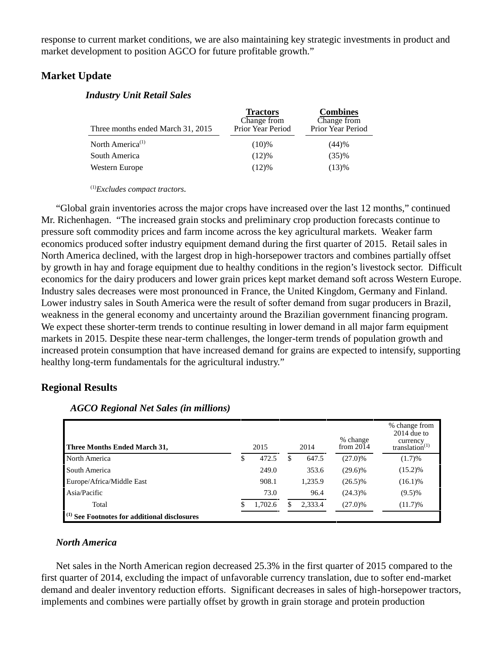response to current market conditions, we are also maintaining key strategic investments in product and market development to position AGCO for future profitable growth."

# **Market Update**

## *Industry Unit Retail Sales*

| Three months ended March 31, 2015 | <b>Tractors</b><br>Change from<br>Prior Year Period | <b>Combines</b><br>Change from<br>Prior Year Period |
|-----------------------------------|-----------------------------------------------------|-----------------------------------------------------|
| North America <sup>(1)</sup>      | $(10)\%$                                            | (44)%                                               |
| South America                     | (12)%                                               | $(35)$ %                                            |
| Western Europe                    | (12)%                                               | (13)%                                               |

(1)*Excludes compact tractors.*

"Global grain inventories across the major crops have increased over the last 12 months," continued Mr. Richenhagen. "The increased grain stocks and preliminary crop production forecasts continue to pressure soft commodity prices and farm income across the key agricultural markets. Weaker farm economics produced softer industry equipment demand during the first quarter of 2015. Retail sales in North America declined, with the largest drop in high-horsepower tractors and combines partially offset by growth in hay and forage equipment due to healthy conditions in the region's livestock sector. Difficult economics for the dairy producers and lower grain prices kept market demand soft across Western Europe. Industry sales decreases were most pronounced in France, the United Kingdom, Germany and Finland. Lower industry sales in South America were the result of softer demand from sugar producers in Brazil, weakness in the general economy and uncertainty around the Brazilian government financing program. We expect these shorter-term trends to continue resulting in lower demand in all major farm equipment markets in 2015. Despite these near-term challenges, the longer-term trends of population growth and increased protein consumption that have increased demand for grains are expected to intensify, supporting healthy long-term fundamentals for the agricultural industry."

## **Regional Results**

| Three Months Ended March 31,                   |   | 2015    |    | 2014    | % change<br>from $2014$ | % change from<br>$2014$ due to<br>currency<br>translation $(1)$ |
|------------------------------------------------|---|---------|----|---------|-------------------------|-----------------------------------------------------------------|
| North America                                  | S | 472.5   |    | 647.5   | $(27.0)\%$              | (1.7)%                                                          |
| South America                                  |   | 249.0   |    | 353.6   | $(29.6)\%$              | $(15.2)\%$                                                      |
| Europe/Africa/Middle East                      |   | 908.1   |    | 1,235.9 | $(26.5)\%$              | $(16.1)\%$                                                      |
| Asia/Pacific                                   |   | 73.0    |    | 96.4    | $(24.3)\%$              | $(9.5)\%$                                                       |
| Total                                          |   | 1,702.6 | S. | 2,333.4 | $(27.0)\%$              | (11.7)%                                                         |
| $(1)$ See Footnotes for additional disclosures |   |         |    |         |                         |                                                                 |

*AGCO Regional Net Sales (in millions)*

# *North America*

Net sales in the North American region decreased 25.3% in the first quarter of 2015 compared to the first quarter of 2014, excluding the impact of unfavorable currency translation, due to softer end-market demand and dealer inventory reduction efforts. Significant decreases in sales of high-horsepower tractors, implements and combines were partially offset by growth in grain storage and protein production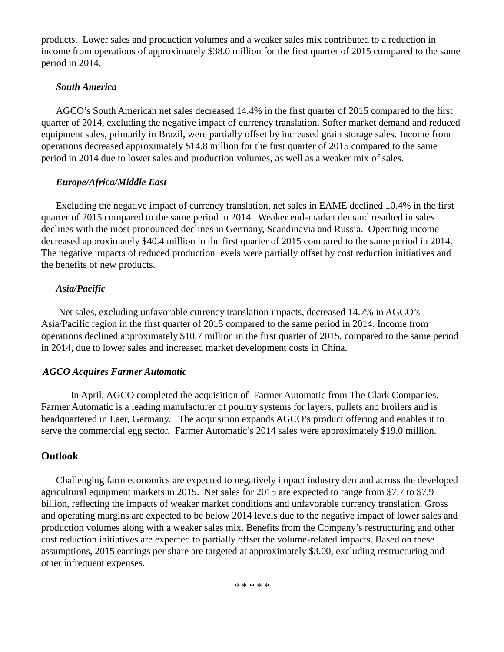products. Lower sales and production volumes and a weaker sales mix contributed to a reduction in income from operations of approximately \$38.0 million for the first quarter of 2015 compared to the same period in 2014.

## *South America*

AGCO's South American net sales decreased 14.4% in the first quarter of 2015 compared to the first quarter of 2014, excluding the negative impact of currency translation. Softer market demand and reduced equipment sales, primarily in Brazil, were partially offset by increased grain storage sales. Income from operations decreased approximately \$14.8 million for the first quarter of 2015 compared to the same period in 2014 due to lower sales and production volumes, as well as a weaker mix of sales.

#### *Europe/Africa/Middle East*

Excluding the negative impact of currency translation, net sales in EAME declined 10.4% in the first quarter of 2015 compared to the same period in 2014. Weaker end-market demand resulted in sales declines with the most pronounced declines in Germany, Scandinavia and Russia. Operating income decreased approximately \$40.4 million in the first quarter of 2015 compared to the same period in 2014. The negative impacts of reduced production levels were partially offset by cost reduction initiatives and the benefits of new products.

#### *Asia/Pacific*

Net sales, excluding unfavorable currency translation impacts, decreased 14.7% in AGCO's Asia/Pacific region in the first quarter of 2015 compared to the same period in 2014. Income from operations declined approximately \$10.7 million in the first quarter of 2015, compared to the same period in 2014, due to lower sales and increased market development costs in China.

#### *AGCO Acquires Farmer Automatic*

In April, AGCO completed the acquisition of Farmer Automatic from The Clark Companies. Farmer Automatic is a leading manufacturer of poultry systems for layers, pullets and broilers and is headquartered in Laer, Germany. The acquisition expands AGCO's product offering and enables it to serve the commercial egg sector. Farmer Automatic's 2014 sales were approximately \$19.0 million.

## **Outlook**

Challenging farm economics are expected to negatively impact industry demand across the developed agricultural equipment markets in 2015. Net sales for 2015 are expected to range from \$7.7 to \$7.9 billion, reflecting the impacts of weaker market conditions and unfavorable currency translation. Gross and operating margins are expected to be below 2014 levels due to the negative impact of lower sales and production volumes along with a weaker sales mix. Benefits from the Company's restructuring and other cost reduction initiatives are expected to partially offset the volume-related impacts. Based on these assumptions, 2015 earnings per share are targeted at approximately \$3.00, excluding restructuring and other infrequent expenses.

\* \* \* \* \*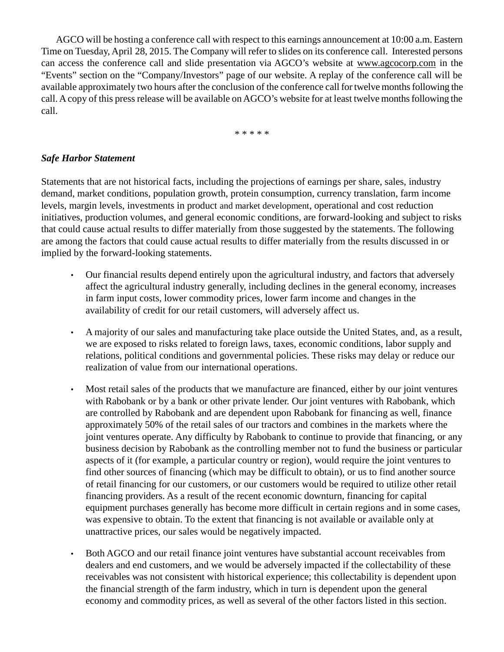AGCO will be hosting a conference call with respect to this earnings announcement at 10:00 a.m. Eastern Time on Tuesday, April 28, 2015. The Company will refer to slides on its conference call. Interested persons can access the conference call and slide presentation via AGCO's website at www.agcocorp.com in the "Events" section on the "Company/Investors" page of our website. A replay of the conference call will be available approximately two hours after the conclusion of the conference call for twelve months following the call. A copy of this press release will be available on AGCO's website for at least twelve months following the call.

\* \* \* \* \*

## *Safe Harbor Statement*

Statements that are not historical facts, including the projections of earnings per share, sales, industry demand, market conditions, population growth, protein consumption, currency translation, farm income levels, margin levels, investments in product and market development, operational and cost reduction initiatives, production volumes, and general economic conditions, are forward-looking and subject to risks that could cause actual results to differ materially from those suggested by the statements. The following are among the factors that could cause actual results to differ materially from the results discussed in or implied by the forward-looking statements.

- Our financial results depend entirely upon the agricultural industry, and factors that adversely affect the agricultural industry generally, including declines in the general economy, increases in farm input costs, lower commodity prices, lower farm income and changes in the availability of credit for our retail customers, will adversely affect us.
- A majority of our sales and manufacturing take place outside the United States, and, as a result, we are exposed to risks related to foreign laws, taxes, economic conditions, labor supply and relations, political conditions and governmental policies. These risks may delay or reduce our realization of value from our international operations.
- Most retail sales of the products that we manufacture are financed, either by our joint ventures with Rabobank or by a bank or other private lender. Our joint ventures with Rabobank, which are controlled by Rabobank and are dependent upon Rabobank for financing as well, finance approximately 50% of the retail sales of our tractors and combines in the markets where the joint ventures operate. Any difficulty by Rabobank to continue to provide that financing, or any business decision by Rabobank as the controlling member not to fund the business or particular aspects of it (for example, a particular country or region), would require the joint ventures to find other sources of financing (which may be difficult to obtain), or us to find another source of retail financing for our customers, or our customers would be required to utilize other retail financing providers. As a result of the recent economic downturn, financing for capital equipment purchases generally has become more difficult in certain regions and in some cases, was expensive to obtain. To the extent that financing is not available or available only at unattractive prices, our sales would be negatively impacted.
- Both AGCO and our retail finance joint ventures have substantial account receivables from dealers and end customers, and we would be adversely impacted if the collectability of these receivables was not consistent with historical experience; this collectability is dependent upon the financial strength of the farm industry, which in turn is dependent upon the general economy and commodity prices, as well as several of the other factors listed in this section.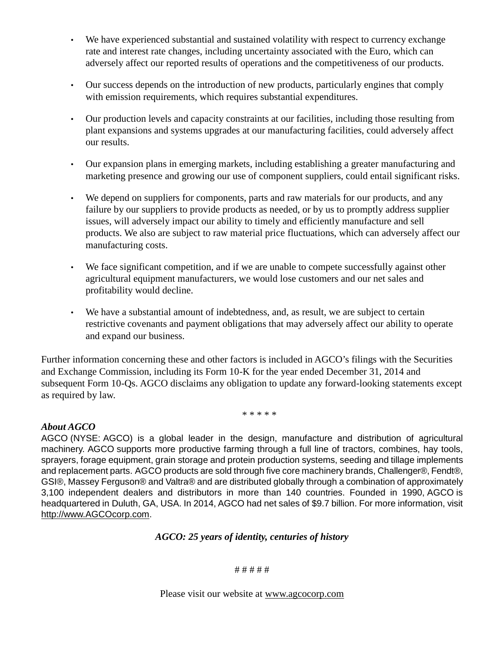- We have experienced substantial and sustained volatility with respect to currency exchange rate and interest rate changes, including uncertainty associated with the Euro, which can adversely affect our reported results of operations and the competitiveness of our products.
- Our success depends on the introduction of new products, particularly engines that comply with emission requirements, which requires substantial expenditures.
- Our production levels and capacity constraints at our facilities, including those resulting from plant expansions and systems upgrades at our manufacturing facilities, could adversely affect our results.
- Our expansion plans in emerging markets, including establishing a greater manufacturing and marketing presence and growing our use of component suppliers, could entail significant risks.
- We depend on suppliers for components, parts and raw materials for our products, and any failure by our suppliers to provide products as needed, or by us to promptly address supplier issues, will adversely impact our ability to timely and efficiently manufacture and sell products. We also are subject to raw material price fluctuations, which can adversely affect our manufacturing costs.
- We face significant competition, and if we are unable to compete successfully against other agricultural equipment manufacturers, we would lose customers and our net sales and profitability would decline.
- We have a substantial amount of indebtedness, and, as result, we are subject to certain restrictive covenants and payment obligations that may adversely affect our ability to operate and expand our business.

Further information concerning these and other factors is included in AGCO's filings with the Securities and Exchange Commission, including its Form 10-K for the year ended December 31, 2014 and subsequent Form 10-Qs. AGCO disclaims any obligation to update any forward-looking statements except as required by law.

\* \* \* \* \*

## *About AGCO*

AGCO (NYSE:AGCO) is a global leader in the design, manufacture and distribution of agricultural machinery. AGCO supports more productive farming through a full line of tractors, combines, hay tools, sprayers, forage equipment, grain storage and protein production systems, seeding and tillage implements and replacement parts. AGCO products are sold through five core machinery brands, Challenger®, Fendt®, GSI®, Massey Ferguson® and Valtra® and are distributed globally through a combination of approximately 3,100 independent dealers and distributors in more than 140 countries. Founded in 1990, AGCO is headquartered in Duluth, GA, USA. In 2014, AGCO had net sales of \$9.7 billion. For more information, visit http://www.AGCOcorp.com.

*AGCO: 25 years of identity, centuries of history*

## # # # # #

Please visit our website at www.agcocorp.com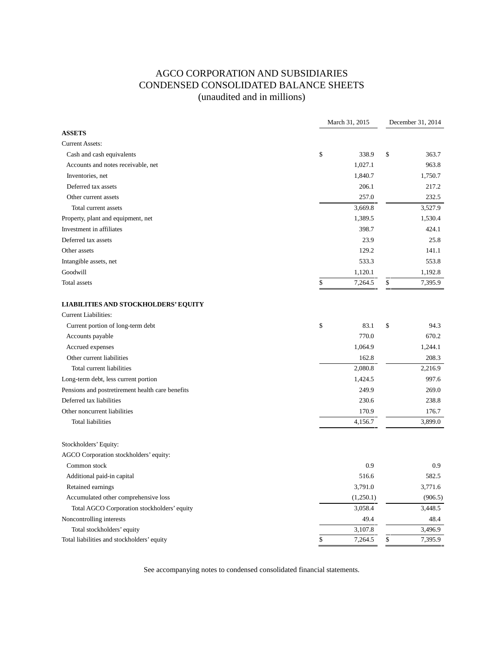## AGCO CORPORATION AND SUBSIDIARIES CONDENSED CONSOLIDATED BALANCE SHEETS (unaudited and in millions)

|                                                  | March 31, 2015 | December 31, 2014 |
|--------------------------------------------------|----------------|-------------------|
| <b>ASSETS</b>                                    |                |                   |
| <b>Current Assets:</b>                           |                |                   |
| Cash and cash equivalents                        | \$<br>338.9    | \$<br>363.7       |
| Accounts and notes receivable, net               | 1,027.1        | 963.8             |
| Inventories, net                                 | 1,840.7        | 1,750.7           |
| Deferred tax assets                              | 206.1          | 217.2             |
| Other current assets                             | 257.0          | 232.5             |
| Total current assets                             | 3,669.8        | 3,527.9           |
| Property, plant and equipment, net               | 1,389.5        | 1,530.4           |
| Investment in affiliates                         | 398.7          | 424.1             |
| Deferred tax assets                              | 23.9           | 25.8              |
| Other assets                                     | 129.2          | 141.1             |
| Intangible assets, net                           | 533.3          | 553.8             |
| Goodwill                                         | 1,120.1        | 1,192.8           |
| <b>Total</b> assets                              | \$<br>7,264.5  | \$<br>7,395.9     |
| <b>LIABILITIES AND STOCKHOLDERS' EQUITY</b>      |                |                   |
| <b>Current Liabilities:</b>                      |                |                   |
| Current portion of long-term debt                | \$<br>83.1     | \$<br>94.3        |
| Accounts payable                                 | 770.0          | 670.2             |
| Accrued expenses                                 | 1,064.9        | 1,244.1           |
| Other current liabilities                        | 162.8          | 208.3             |
| Total current liabilities                        | 2,080.8        | 2,216.9           |
| Long-term debt, less current portion             | 1,424.5        | 997.6             |
| Pensions and postretirement health care benefits | 249.9          | 269.0             |
| Deferred tax liabilities                         | 230.6          | 238.8             |
| Other noncurrent liabilities                     | 170.9          | 176.7             |
| Total liabilities                                | 4,156.7        | 3,899.0           |
| Stockholders' Equity:                            |                |                   |
| AGCO Corporation stockholders' equity:           |                |                   |
| Common stock                                     | 0.9            | 0.9               |
| Additional paid-in capital                       | 516.6          | 582.5             |
| Retained earnings                                | 3,791.0        | 3,771.6           |
| Accumulated other comprehensive loss             | (1,250.1)      | (906.5)           |
| Total AGCO Corporation stockholders' equity      | 3,058.4        | 3,448.5           |
| Noncontrolling interests                         | 49.4           | 48.4              |
| Total stockholders' equity                       | 3,107.8        | 3,496.9           |
| Total liabilities and stockholders' equity       | \$<br>7,264.5  | \$<br>7,395.9     |

See accompanying notes to condensed consolidated financial statements.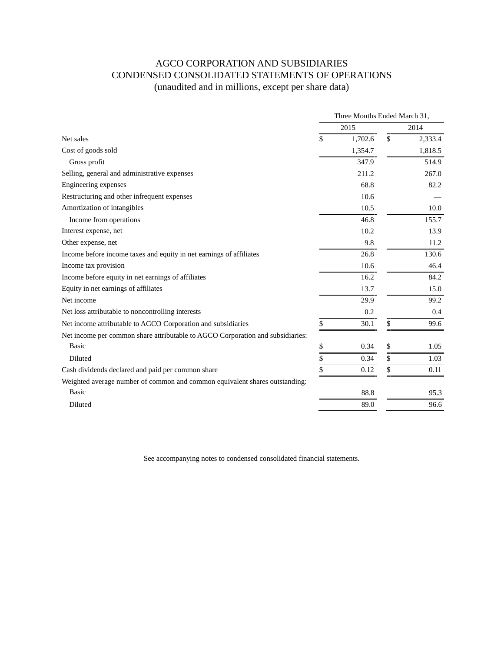## AGCO CORPORATION AND SUBSIDIARIES CONDENSED CONSOLIDATED STATEMENTS OF OPERATIONS (unaudited and in millions, except per share data)

|                                                                                | Three Months Ended March 31, |         |              |         |  |
|--------------------------------------------------------------------------------|------------------------------|---------|--------------|---------|--|
|                                                                                |                              | 2015    | 2014         |         |  |
| Net sales                                                                      | \$                           | 1,702.6 | $\mathbb{S}$ | 2,333.4 |  |
| Cost of goods sold                                                             |                              | 1,354.7 |              | 1,818.5 |  |
| Gross profit                                                                   |                              | 347.9   |              | 514.9   |  |
| Selling, general and administrative expenses                                   |                              | 211.2   |              | 267.0   |  |
| Engineering expenses                                                           |                              | 68.8    |              | 82.2    |  |
| Restructuring and other infrequent expenses                                    |                              | 10.6    |              |         |  |
| Amortization of intangibles                                                    |                              | 10.5    |              | 10.0    |  |
| Income from operations                                                         |                              | 46.8    |              | 155.7   |  |
| Interest expense, net                                                          |                              | 10.2    |              | 13.9    |  |
| Other expense, net                                                             |                              | 9.8     |              | 11.2    |  |
| Income before income taxes and equity in net earnings of affiliates            |                              | 26.8    |              | 130.6   |  |
| Income tax provision                                                           |                              | 10.6    |              | 46.4    |  |
| Income before equity in net earnings of affiliates                             |                              | 16.2    |              | 84.2    |  |
| Equity in net earnings of affiliates                                           |                              | 13.7    |              | 15.0    |  |
| Net income                                                                     |                              | 29.9    |              | 99.2    |  |
| Net loss attributable to noncontrolling interests                              |                              | 0.2     |              | 0.4     |  |
| Net income attributable to AGCO Corporation and subsidiaries                   | \$                           | 30.1    | \$           | 99.6    |  |
| Net income per common share attributable to AGCO Corporation and subsidiaries: |                              |         |              |         |  |
| <b>Basic</b>                                                                   | \$                           | 0.34    | \$           | 1.05    |  |
| Diluted                                                                        | \$                           | 0.34    | \$           | 1.03    |  |
| Cash dividends declared and paid per common share                              | \$                           | 0.12    | \$           | 0.11    |  |
| Weighted average number of common and common equivalent shares outstanding:    |                              |         |              |         |  |
| Basic                                                                          |                              | 88.8    |              | 95.3    |  |
| Diluted                                                                        |                              | 89.0    |              | 96.6    |  |
|                                                                                |                              |         |              |         |  |

See accompanying notes to condensed consolidated financial statements.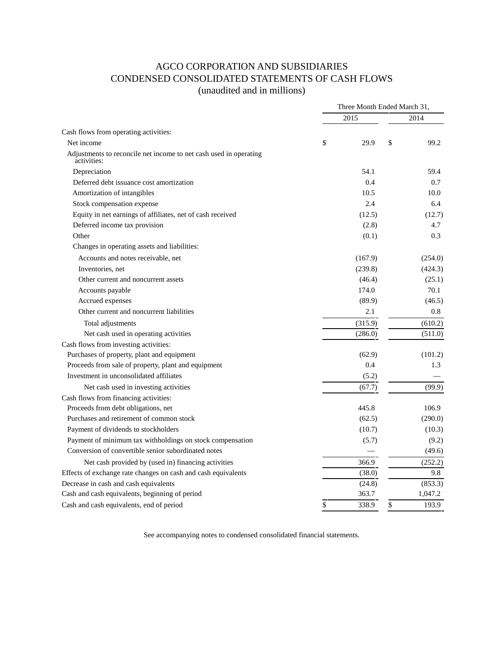# AGCO CORPORATION AND SUBSIDIARIES CONDENSED CONSOLIDATED STATEMENTS OF CASH FLOWS

(unaudited and in millions)

|                                                                                  | Three Month Ended March 31, |         |      |         |  |
|----------------------------------------------------------------------------------|-----------------------------|---------|------|---------|--|
|                                                                                  |                             | 2015    | 2014 |         |  |
| Cash flows from operating activities:                                            |                             |         |      |         |  |
| Net income                                                                       | \$                          | 29.9    | \$   | 99.2    |  |
| Adjustments to reconcile net income to net cash used in operating<br>activities: |                             |         |      |         |  |
| Depreciation                                                                     |                             | 54.1    |      | 59.4    |  |
| Deferred debt issuance cost amortization                                         |                             | 0.4     |      | 0.7     |  |
| Amortization of intangibles                                                      |                             | 10.5    |      | 10.0    |  |
| Stock compensation expense                                                       |                             | 2.4     |      | 6.4     |  |
| Equity in net earnings of affiliates, net of cash received                       |                             | (12.5)  |      | (12.7)  |  |
| Deferred income tax provision                                                    |                             | (2.8)   |      | 4.7     |  |
| Other                                                                            |                             | (0.1)   |      | 0.3     |  |
| Changes in operating assets and liabilities:                                     |                             |         |      |         |  |
| Accounts and notes receivable, net                                               |                             | (167.9) |      | (254.0) |  |
| Inventories, net                                                                 |                             | (239.8) |      | (424.3) |  |
| Other current and noncurrent assets                                              |                             | (46.4)  |      | (25.1)  |  |
| Accounts payable                                                                 |                             | 174.0   |      | 70.1    |  |
| Accrued expenses                                                                 |                             | (89.9)  |      | (46.5)  |  |
| Other current and noncurrent liabilities                                         |                             | 2.1     |      | $0.8\,$ |  |
| Total adjustments                                                                |                             | (315.9) |      | (610.2) |  |
| Net cash used in operating activities                                            |                             | (286.0) |      | (511.0) |  |
| Cash flows from investing activities:                                            |                             |         |      |         |  |
| Purchases of property, plant and equipment                                       |                             | (62.9)  |      | (101.2) |  |
| Proceeds from sale of property, plant and equipment                              |                             | 0.4     |      | 1.3     |  |
| Investment in unconsolidated affiliates                                          |                             | (5.2)   |      |         |  |
| Net cash used in investing activities                                            |                             | (67.7)  |      | (99.9)  |  |
| Cash flows from financing activities:                                            |                             |         |      |         |  |
| Proceeds from debt obligations, net                                              |                             | 445.8   |      | 106.9   |  |
| Purchases and retirement of common stock                                         |                             | (62.5)  |      | (290.0) |  |
| Payment of dividends to stockholders                                             |                             | (10.7)  |      | (10.3)  |  |
| Payment of minimum tax withholdings on stock compensation                        |                             | (5.7)   |      | (9.2)   |  |
| Conversion of convertible senior subordinated notes                              |                             |         |      | (49.6)  |  |
| Net cash provided by (used in) financing activities                              |                             | 366.9   |      | (252.2) |  |
| Effects of exchange rate changes on cash and cash equivalents                    |                             | (38.0)  |      | 9.8     |  |
| Decrease in cash and cash equivalents                                            |                             | (24.8)  |      | (853.3) |  |
| Cash and cash equivalents, beginning of period                                   |                             | 363.7   |      | 1,047.2 |  |
| Cash and cash equivalents, end of period                                         | \$                          | 338.9   | \$   | 193.9   |  |

See accompanying notes to condensed consolidated financial statements.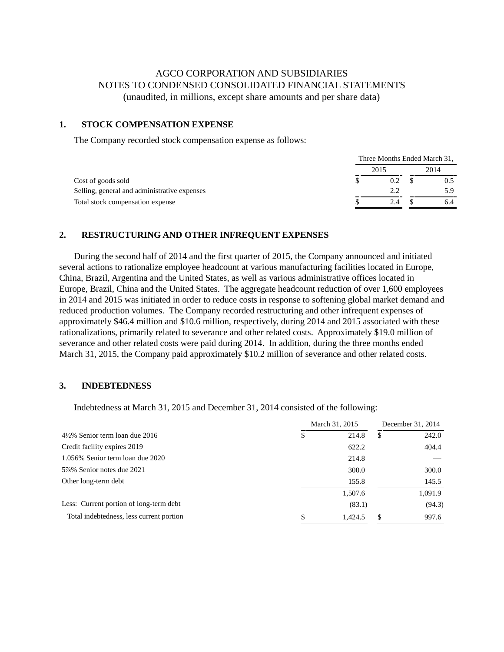## AGCO CORPORATION AND SUBSIDIARIES NOTES TO CONDENSED CONSOLIDATED FINANCIAL STATEMENTS (unaudited, in millions, except share amounts and per share data)

## **1. STOCK COMPENSATION EXPENSE**

The Company recorded stock compensation expense as follows:

|                                              | Three Months Ended March 31, |  |     |  |  |  |  |
|----------------------------------------------|------------------------------|--|-----|--|--|--|--|
|                                              | 2015                         |  |     |  |  |  |  |
| Cost of goods sold                           | 0.2                          |  | U.S |  |  |  |  |
| Selling, general and administrative expenses | 2.2                          |  | 5.9 |  |  |  |  |
| Total stock compensation expense             | 2.4                          |  |     |  |  |  |  |

#### **2. RESTRUCTURING AND OTHER INFREQUENT EXPENSES**

During the second half of 2014 and the first quarter of 2015, the Company announced and initiated several actions to rationalize employee headcount at various manufacturing facilities located in Europe, China, Brazil, Argentina and the United States, as well as various administrative offices located in Europe, Brazil, China and the United States. The aggregate headcount reduction of over 1,600 employees in 2014 and 2015 was initiated in order to reduce costs in response to softening global market demand and reduced production volumes. The Company recorded restructuring and other infrequent expenses of approximately \$46.4 million and \$10.6 million, respectively, during 2014 and 2015 associated with these rationalizations, primarily related to severance and other related costs. Approximately \$19.0 million of severance and other related costs were paid during 2014. In addition, during the three months ended March 31, 2015, the Company paid approximately \$10.2 million of severance and other related costs.

#### **3. INDEBTEDNESS**

Indebtedness at March 31, 2015 and December 31, 2014 consisted of the following:

|                                            |   | March 31, 2015 |   |         |
|--------------------------------------------|---|----------------|---|---------|
| $4\frac{1}{2}\%$ Senior term loan due 2016 | S | 214.8          | S | 242.0   |
| Credit facility expires 2019               |   | 622.2          |   | 404.4   |
| 1.056% Senior term loan due 2020           |   | 214.8          |   |         |
| 5 % Senior notes due 2021                  |   | 300.0          |   | 300.0   |
| Other long-term debt                       |   | 155.8          |   | 145.5   |
|                                            |   | 1,507.6        |   | 1,091.9 |
| Less: Current portion of long-term debt    |   | (83.1)         |   | (94.3)  |
| Total indebtedness, less current portion   |   | 1.424.5        | S | 997.6   |
|                                            |   |                |   |         |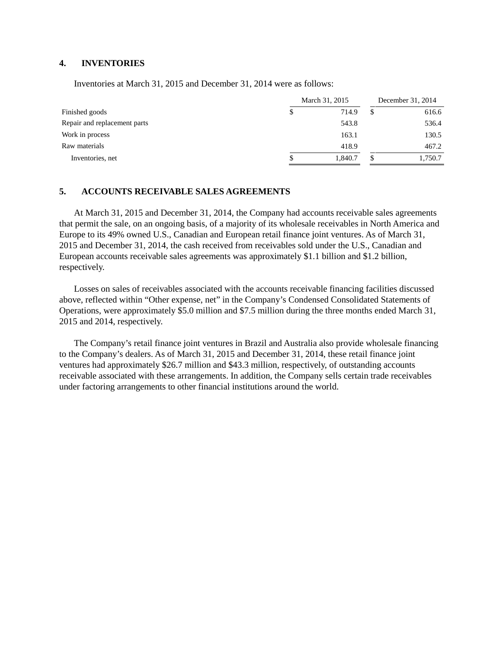## **4. INVENTORIES**

Inventories at March 31, 2015 and December 31, 2014 were as follows:

|   | March 31, 2015 | December 31, 2014 |         |  |
|---|----------------|-------------------|---------|--|
| S | 714.9          |                   | 616.6   |  |
|   | 543.8          |                   | 536.4   |  |
|   | 163.1          |                   | 130.5   |  |
|   | 418.9          |                   | 467.2   |  |
| S | 1,840.7        |                   | 1,750.7 |  |
|   |                |                   |         |  |

#### **5. ACCOUNTS RECEIVABLE SALES AGREEMENTS**

At March 31, 2015 and December 31, 2014, the Company had accounts receivable sales agreements that permit the sale, on an ongoing basis, of a majority of its wholesale receivables in North America and Europe to its 49% owned U.S., Canadian and European retail finance joint ventures. As of March 31, 2015 and December 31, 2014, the cash received from receivables sold under the U.S., Canadian and European accounts receivable sales agreements was approximately \$1.1 billion and \$1.2 billion, respectively.

Losses on sales of receivables associated with the accounts receivable financing facilities discussed above, reflected within "Other expense, net" in the Company's Condensed Consolidated Statements of Operations, were approximately \$5.0 million and \$7.5 million during the three months ended March 31, 2015 and 2014, respectively.

The Company's retail finance joint ventures in Brazil and Australia also provide wholesale financing to the Company's dealers. As of March 31, 2015 and December 31, 2014, these retail finance joint ventures had approximately \$26.7 million and \$43.3 million, respectively, of outstanding accounts receivable associated with these arrangements. In addition, the Company sells certain trade receivables under factoring arrangements to other financial institutions around the world.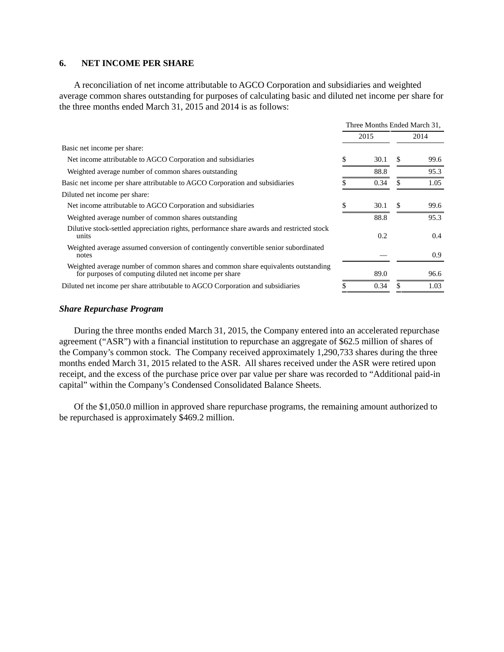## **6. NET INCOME PER SHARE**

A reconciliation of net income attributable to AGCO Corporation and subsidiaries and weighted average common shares outstanding for purposes of calculating basic and diluted net income per share for the three months ended March 31, 2015 and 2014 is as follows:

|                                                                                                                                             |      | Three Months Ended March 31, |      |      |
|---------------------------------------------------------------------------------------------------------------------------------------------|------|------------------------------|------|------|
|                                                                                                                                             | 2015 |                              | 2014 |      |
| Basic net income per share:                                                                                                                 |      |                              |      |      |
| Net income attributable to AGCO Corporation and subsidiaries                                                                                | \$   | 30.1                         | \$.  | 99.6 |
| Weighted average number of common shares outstanding                                                                                        |      | 88.8                         |      | 95.3 |
| Basic net income per share attributable to AGCO Corporation and subsidiaries                                                                |      | 0.34                         |      | 1.05 |
| Diluted net income per share:                                                                                                               |      |                              |      |      |
| Net income attributable to AGCO Corporation and subsidiaries                                                                                | \$   | 30.1                         | \$.  | 99.6 |
| Weighted average number of common shares outstanding                                                                                        |      | 88.8                         |      | 95.3 |
| Dilutive stock-settled appreciation rights, performance share awards and restricted stock<br>units                                          |      | 0.2                          |      | 0.4  |
| Weighted average assumed conversion of contingently convertible senior subordinated<br>notes                                                |      |                              |      | 0.9  |
| Weighted average number of common shares and common share equivalents outstanding<br>for purposes of computing diluted net income per share |      | 89.0                         |      | 96.6 |
| Diluted net income per share attributable to AGCO Corporation and subsidiaries                                                              |      | 0.34                         |      | 1.03 |
|                                                                                                                                             |      |                              |      |      |

#### *Share Repurchase Program*

During the three months ended March 31, 2015, the Company entered into an accelerated repurchase agreement ("ASR") with a financial institution to repurchase an aggregate of \$62.5 million of shares of the Company's common stock. The Company received approximately 1,290,733 shares during the three months ended March 31, 2015 related to the ASR. All shares received under the ASR were retired upon receipt, and the excess of the purchase price over par value per share was recorded to "Additional paid-in capital" within the Company's Condensed Consolidated Balance Sheets.

Of the \$1,050.0 million in approved share repurchase programs, the remaining amount authorized to be repurchased is approximately \$469.2 million.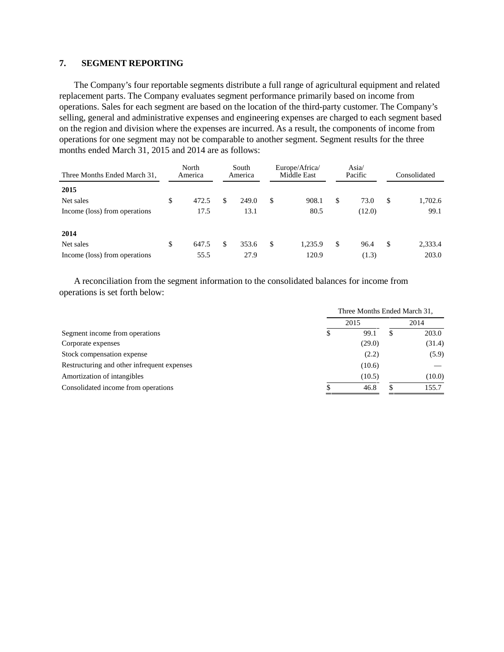## **7. SEGMENT REPORTING**

The Company's four reportable segments distribute a full range of agricultural equipment and related replacement parts. The Company evaluates segment performance primarily based on income from operations. Sales for each segment are based on the location of the third-party customer. The Company's selling, general and administrative expenses and engineering expenses are charged to each segment based on the region and division where the expenses are incurred. As a result, the components of income from operations for one segment may not be comparable to another segment. Segment results for the three months ended March 31, 2015 and 2014 are as follows:

| Three Months Ended March 31,  | North<br>America |     | South<br>America |   | Europe/Africa/<br>Middle East |   | Asia/<br>Pacific |    | Consolidated |
|-------------------------------|------------------|-----|------------------|---|-------------------------------|---|------------------|----|--------------|
| 2015                          |                  |     |                  |   |                               |   |                  |    |              |
| Net sales                     | \$<br>472.5      | \$. | 249.0            | S | 908.1                         | S | 73.0             | S  | 1,702.6      |
| Income (loss) from operations | 17.5             |     | 13.1             |   | 80.5                          |   | (12.0)           |    | 99.1         |
| 2014                          |                  |     |                  |   |                               |   |                  |    |              |
| Net sales                     | \$<br>647.5      | \$  | 353.6            | S | 1,235.9                       | S | 96.4             | \$ | 2,333.4      |
| Income (loss) from operations | 55.5             |     | 27.9             |   | 120.9                         |   | (1.3)            |    | 203.0        |

A reconciliation from the segment information to the consolidated balances for income from operations is set forth below:

|                                             | Three Months Ended March 31, |        |  |        |  |  |  |
|---------------------------------------------|------------------------------|--------|--|--------|--|--|--|
|                                             |                              | 2015   |  |        |  |  |  |
| Segment income from operations              |                              | 99.1   |  | 203.0  |  |  |  |
| Corporate expenses                          |                              | (29.0) |  | (31.4) |  |  |  |
| Stock compensation expense                  |                              | (2.2)  |  | (5.9)  |  |  |  |
| Restructuring and other infrequent expenses |                              | (10.6) |  |        |  |  |  |
| Amortization of intangibles                 |                              | (10.5) |  | (10.0) |  |  |  |
| Consolidated income from operations         |                              | 46.8   |  | 155.7  |  |  |  |
|                                             |                              |        |  |        |  |  |  |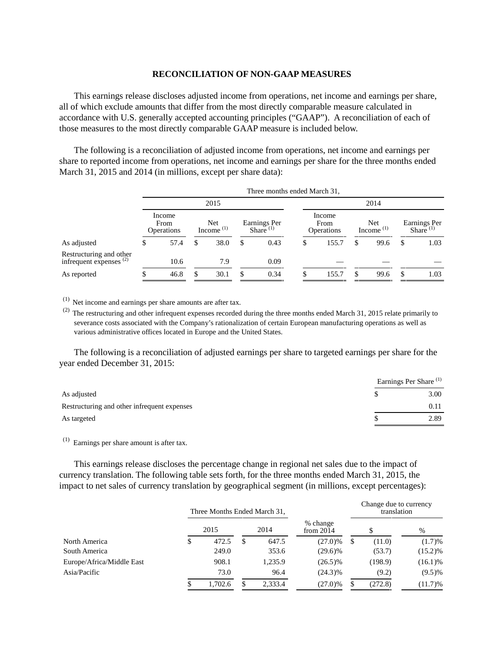#### **RECONCILIATION OF NON-GAAP MEASURES**

This earnings release discloses adjusted income from operations, net income and earnings per share, all of which exclude amounts that differ from the most directly comparable measure calculated in accordance with U.S. generally accepted accounting principles ("GAAP"). A reconciliation of each of those measures to the most directly comparable GAAP measure is included below.

The following is a reconciliation of adjusted income from operations, net income and earnings per share to reported income from operations, net income and earnings per share for the three months ended March 31, 2015 and 2014 (in millions, except per share data):

|                                                      |                                     | Three months ended March 31, |                     |      |                             |      |    |                              |  |                     |   |                             |  |  |
|------------------------------------------------------|-------------------------------------|------------------------------|---------------------|------|-----------------------------|------|----|------------------------------|--|---------------------|---|-----------------------------|--|--|
|                                                      |                                     | 2015                         |                     |      |                             |      |    | 2014                         |  |                     |   |                             |  |  |
|                                                      | Income<br>From<br><b>Operations</b> |                              | Net<br>Income $(1)$ |      | Earnings Per<br>Share $(1)$ |      |    | Income<br>From<br>Operations |  | Net<br>Income $(1)$ |   | Earnings Per<br>Share $(1)$ |  |  |
| As adjusted                                          | ₻                                   | 57.4                         | \$                  | 38.0 | \$                          | 0.43 | \$ | 155.7                        |  | 99.6                |   | 1.03                        |  |  |
| Restructuring and other<br>infrequent expenses $(2)$ |                                     | 10.6                         |                     | 7.9  |                             | 0.09 |    | <u>—</u>                     |  |                     |   |                             |  |  |
| As reported                                          | \$                                  | 46.8                         | S                   | 30.1 | S                           | 0.34 | S  | 155.7                        |  | 99.6                | S | 1.03                        |  |  |
|                                                      |                                     |                              |                     |      |                             |      |    |                              |  |                     |   |                             |  |  |

 $(1)$  Net income and earnings per share amounts are after tax.

 $(2)$  The restructuring and other infrequent expenses recorded during the three months ended March 31, 2015 relate primarily to severance costs associated with the Company's rationalization of certain European manufacturing operations as well as various administrative offices located in Europe and the United States.

The following is a reconciliation of adjusted earnings per share to targeted earnings per share for the year ended December 31, 2015:

|                                             | Earnings Per Share <sup>(1)</sup> |      |  |  |  |
|---------------------------------------------|-----------------------------------|------|--|--|--|
| As adjusted                                 |                                   | 3.00 |  |  |  |
| Restructuring and other infrequent expenses |                                   | 0.11 |  |  |  |
| As targeted                                 |                                   | 2.89 |  |  |  |

 $(1)$  Earnings per share amount is after tax.

This earnings release discloses the percentage change in regional net sales due to the impact of currency translation. The following table sets forth, for the three months ended March 31, 2015, the impact to net sales of currency translation by geographical segment (in millions, except percentages):

|                           |      | Three Months Ended March 31, |               |         |                         | Change due to currency<br>translation |         |            |  |
|---------------------------|------|------------------------------|---------------|---------|-------------------------|---------------------------------------|---------|------------|--|
|                           | 2015 |                              | 2014          |         | % change<br>from $2014$ |                                       |         | %          |  |
| North America             | \$   | 472.5                        | <sup>\$</sup> | 647.5   | $(27.0)\%$              |                                       | (11.0)  | (1.7)%     |  |
| South America             |      | 249.0                        |               | 353.6   | $(29.6)\%$              |                                       | (53.7)  | (15.2)%    |  |
| Europe/Africa/Middle East |      | 908.1                        |               | 1,235.9 | $(26.5)\%$              |                                       | (198.9) | $(16.1)\%$ |  |
| Asia/Pacific              |      | 73.0                         |               | 96.4    | $(24.3)\%$              |                                       | (9.2)   | $(9.5)\%$  |  |
|                           | \$   | 1.702.6                      |               | 2,333.4 | $(27.0)\%$              |                                       | (272.8) | (11.7)%    |  |

 $C$  because due to currency  $\sim$